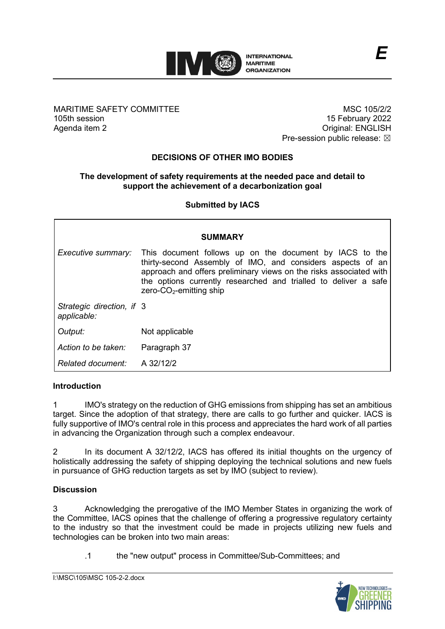

MARITIME SAFETY COMMITTEE 105th session Agenda item 2

MSC 105/2/2 15 February 2022 Original: ENGLISH Pre-session public release:  $\boxtimes$ 

# **DECISIONS OF OTHER IMO BODIES**

### **The development of safety requirements at the needed pace and detail to support the achievement of a decarbonization goal**

**Submitted by IACS**

| <b>SUMMARY</b>                           |                                                                                                                                                                                                                                                                                                 |
|------------------------------------------|-------------------------------------------------------------------------------------------------------------------------------------------------------------------------------------------------------------------------------------------------------------------------------------------------|
| Executive summary:                       | This document follows up on the document by IACS to the<br>thirty-second Assembly of IMO, and considers aspects of an<br>approach and offers preliminary views on the risks associated with<br>the options currently researched and trialled to deliver a safe<br>$zero$ - $CO2$ -emitting ship |
| Strategic direction, if 3<br>applicable: |                                                                                                                                                                                                                                                                                                 |
| Output:                                  | Not applicable                                                                                                                                                                                                                                                                                  |
| Action to be taken:                      | Paragraph 37                                                                                                                                                                                                                                                                                    |
| Related document:                        | A 32/12/2                                                                                                                                                                                                                                                                                       |

### **Introduction**

1 IMO's strategy on the reduction of GHG emissions from shipping has set an ambitious target. Since the adoption of that strategy, there are calls to go further and quicker. IACS is fully supportive of IMO's central role in this process and appreciates the hard work of all parties in advancing the Organization through such a complex endeavour.

2 In its document A 32/12/2, IACS has offered its initial thoughts on the urgency of holistically addressing the safety of shipping deploying the technical solutions and new fuels in pursuance of GHG reduction targets as set by IMO (subject to review).

### **Discussion**

3 Acknowledging the prerogative of the IMO Member States in organizing the work of the Committee, IACS opines that the challenge of offering a progressive regulatory certainty to the industry so that the investment could be made in projects utilizing new fuels and technologies can be broken into two main areas:

.1 the "new output" process in Committee/Sub-Committees; and

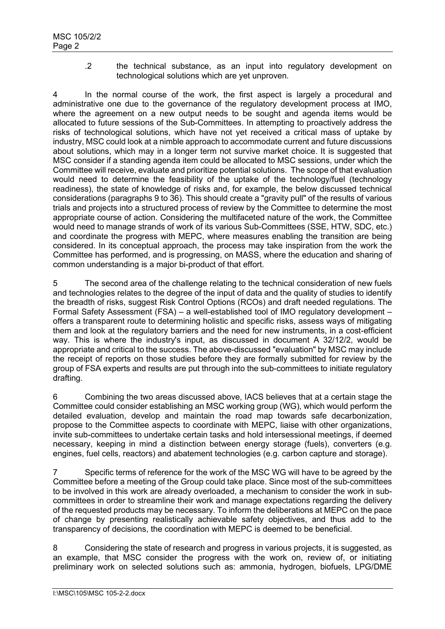.2 the technical substance, as an input into regulatory development on technological solutions which are yet unproven.

4 In the normal course of the work, the first aspect is largely a procedural and administrative one due to the governance of the regulatory development process at IMO, where the agreement on a new output needs to be sought and agenda items would be allocated to future sessions of the Sub-Committees. In attempting to proactively address the risks of technological solutions, which have not yet received a critical mass of uptake by industry, MSC could look at a nimble approach to accommodate current and future discussions about solutions, which may in a longer term not survive market choice. It is suggested that MSC consider if a standing agenda item could be allocated to MSC sessions, under which the Committee will receive, evaluate and prioritize potential solutions. The scope of that evaluation would need to determine the feasibility of the uptake of the technology/fuel (technology readiness), the state of knowledge of risks and, for example, the below discussed technical considerations (paragraphs 9 to 36). This should create a "gravity pull" of the results of various trials and projects into a structured process of review by the Committee to determine the most appropriate course of action. Considering the multifaceted nature of the work, the Committee would need to manage strands of work of its various Sub-Committees (SSE, HTW, SDC, etc.) and coordinate the progress with MEPC, where measures enabling the transition are being considered. In its conceptual approach, the process may take inspiration from the work the Committee has performed, and is progressing, on MASS, where the education and sharing of common understanding is a major bi-product of that effort.

5 The second area of the challenge relating to the technical consideration of new fuels and technologies relates to the degree of the input of data and the quality of studies to identify the breadth of risks, suggest Risk Control Options (RCOs) and draft needed regulations. The Formal Safety Assessment (FSA) – a well-established tool of IMO regulatory development – offers a transparent route to determining holistic and specific risks, assess ways of mitigating them and look at the regulatory barriers and the need for new instruments, in a cost-efficient way. This is where the industry's input, as discussed in document A 32/12/2, would be appropriate and critical to the success. The above-discussed "evaluation" by MSC may include the receipt of reports on those studies before they are formally submitted for review by the group of FSA experts and results are put through into the sub-committees to initiate regulatory drafting.

6 Combining the two areas discussed above, IACS believes that at a certain stage the Committee could consider establishing an MSC working group (WG), which would perform the detailed evaluation, develop and maintain the road map towards safe decarbonization, propose to the Committee aspects to coordinate with MEPC, liaise with other organizations, invite sub-committees to undertake certain tasks and hold intersessional meetings, if deemed necessary, keeping in mind a distinction between energy storage (fuels), converters (e.g. engines, fuel cells, reactors) and abatement technologies (e.g. carbon capture and storage).

7 Specific terms of reference for the work of the MSC WG will have to be agreed by the Committee before a meeting of the Group could take place. Since most of the sub-committees to be involved in this work are already overloaded, a mechanism to consider the work in subcommittees in order to streamline their work and manage expectations regarding the delivery of the requested products may be necessary. To inform the deliberations at MEPC on the pace of change by presenting realistically achievable safety objectives, and thus add to the transparency of decisions, the coordination with MEPC is deemed to be beneficial.

8 Considering the state of research and progress in various projects, it is suggested, as an example, that MSC consider the progress with the work on, review of, or initiating preliminary work on selected solutions such as: ammonia, hydrogen, biofuels, LPG/DME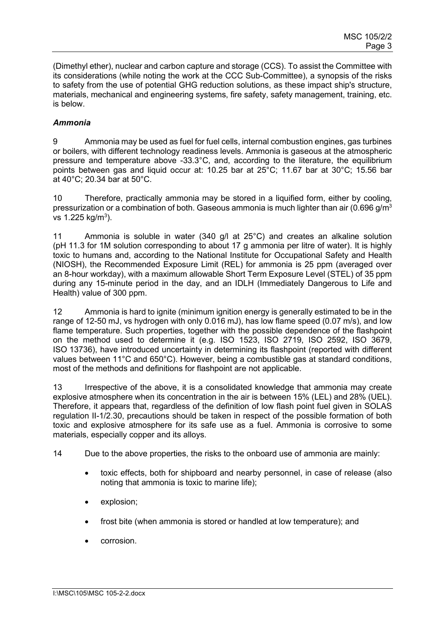(Dimethyl ether), nuclear and carbon capture and storage (CCS). To assist the Committee with its considerations (while noting the work at the CCC Sub-Committee), a synopsis of the risks to safety from the use of potential GHG reduction solutions, as these impact ship's structure, materials, mechanical and engineering systems, fire safety, safety management, training, etc. is below.

### *Ammonia*

9 Ammonia may be used as fuel for fuel cells, internal combustion engines, gas turbines or boilers, with different technology readiness levels. Ammonia is gaseous at the atmospheric pressure and temperature above -33.3°C, and, according to the literature, the equilibrium points between gas and liquid occur at: 10.25 bar at 25°C; 11.67 bar at 30°C; 15.56 bar at 40°C; 20.34 bar at 50°C.

10 Therefore, practically ammonia may be stored in a liquified form, either by cooling, pressurization or a combination of both. Gaseous ammonia is much lighter than air (0.696 g/m<sup>3</sup> vs 1.225 kg/m<sup>3</sup>).

11 Ammonia is soluble in water (340 g/l at 25°C) and creates an alkaline solution (pH 11.3 for 1M solution corresponding to about 17 g ammonia per litre of water). It is highly toxic to humans and, according to the National Institute for Occupational Safety and Health (NIOSH), the Recommended Exposure Limit (REL) for ammonia is 25 ppm (averaged over an 8-hour workday), with a maximum allowable Short Term Exposure Level (STEL) of 35 ppm during any 15-minute period in the day, and an IDLH (Immediately Dangerous to Life and Health) value of 300 ppm.

12 Ammonia is hard to ignite (minimum ignition energy is generally estimated to be in the range of 12-50 mJ, vs hydrogen with only 0.016 mJ), has low flame speed (0.07 m/s), and low flame temperature. Such properties, together with the possible dependence of the flashpoint on the method used to determine it (e.g. ISO 1523, ISO 2719, ISO 2592, ISO 3679, ISO 13736), have introduced uncertainty in determining its flashpoint (reported with different values between 11°C and 650°C). However, being a combustible gas at standard conditions, most of the methods and definitions for flashpoint are not applicable.

13 Irrespective of the above, it is a consolidated knowledge that ammonia may create explosive atmosphere when its concentration in the air is between 15% (LEL) and 28% (UEL). Therefore, it appears that, regardless of the definition of low flash point fuel given in SOLAS regulation II-1/2.30, precautions should be taken in respect of the possible formation of both toxic and explosive atmosphere for its safe use as a fuel. Ammonia is corrosive to some materials, especially copper and its alloys.

- 14 Due to the above properties, the risks to the onboard use of ammonia are mainly:
	- toxic effects, both for shipboard and nearby personnel, in case of release (also noting that ammonia is toxic to marine life);
	- explosion;
	- frost bite (when ammonia is stored or handled at low temperature); and
	- corrosion.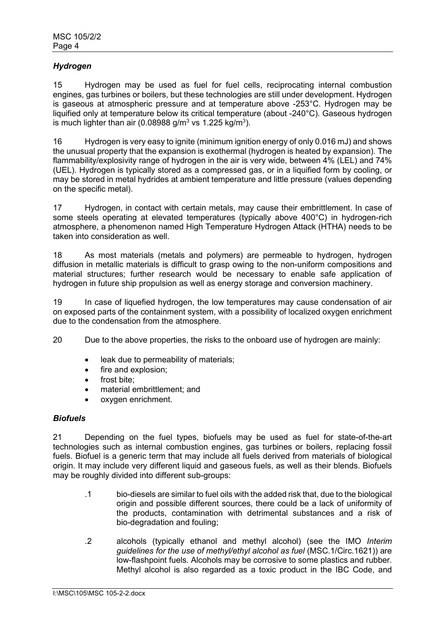# *Hydrogen*

15 Hydrogen may be used as fuel for fuel cells, reciprocating internal combustion engines, gas turbines or boilers, but these technologies are still under development. Hydrogen is gaseous at atmospheric pressure and at temperature above -253°C. Hydrogen may be liquified only at temperature below its critical temperature (about -240°C). Gaseous hydrogen is much lighter than air (0.08988 g/m $^3$  vs 1.225 kg/m $^3$ ).

16 Hydrogen is very easy to ignite (minimum ignition energy of only 0.016 mJ) and shows the unusual property that the expansion is exothermal (hydrogen is heated by expansion). The flammability/explosivity range of hydrogen in the air is very wide, between 4% (LEL) and 74% (UEL). Hydrogen is typically stored as a compressed gas, or in a liquified form by cooling, or may be stored in metal hydrides at ambient temperature and little pressure (values depending on the specific metal).

17 Hydrogen, in contact with certain metals, may cause their embrittlement. In case of some steels operating at elevated temperatures (typically above 400°C) in hydrogen-rich atmosphere, a phenomenon named High Temperature Hydrogen Attack (HTHA) needs to be taken into consideration as well.

18 As most materials (metals and polymers) are permeable to hydrogen, hydrogen diffusion in metallic materials is difficult to grasp owing to the non-uniform compositions and material structures; further research would be necessary to enable safe application of hydrogen in future ship propulsion as well as energy storage and conversion machinery.

19 In case of liquefied hydrogen, the low temperatures may cause condensation of air on exposed parts of the containment system, with a possibility of localized oxygen enrichment due to the condensation from the atmosphere.

20 Due to the above properties, the risks to the onboard use of hydrogen are mainly:

- leak due to permeability of materials;
- fire and explosion;
- frost bite;
- material embrittlement; and
- oxygen enrichment.

### *Biofuels*

21 Depending on the fuel types, biofuels may be used as fuel for state-of-the-art technologies such as internal combustion engines, gas turbines or boilers, replacing fossil fuels. Biofuel is a generic term that may include all fuels derived from materials of biological origin. It may include very different liquid and gaseous fuels, as well as their blends. Biofuels may be roughly divided into different sub-groups:

- .1 bio-diesels are similar to fuel oils with the added risk that, due to the biological origin and possible different sources, there could be a lack of uniformity of the products, contamination with detrimental substances and a risk of bio-degradation and fouling;
- .2 alcohols (typically ethanol and methyl alcohol) (see the IMO *Interim guidelines for the use of methyl/ethyl alcohol as fuel* (MSC.1/Circ.1621)) are low-flashpoint fuels. Alcohols may be corrosive to some plastics and rubber. Methyl alcohol is also regarded as a toxic product in the IBC Code, and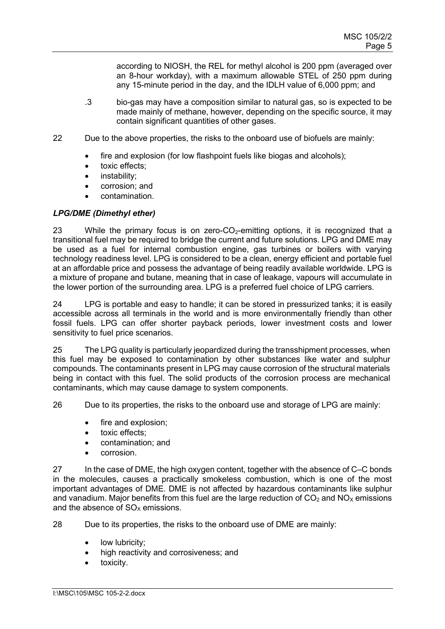according to NIOSH, the REL for methyl alcohol is 200 ppm (averaged over an 8-hour workday), with a maximum allowable STEL of 250 ppm during any 15-minute period in the day, and the IDLH value of 6,000 ppm; and

- .3 bio-gas may have a composition similar to natural gas, so is expected to be made mainly of methane, however, depending on the specific source, it may contain significant quantities of other gases.
- 22 Due to the above properties, the risks to the onboard use of biofuels are mainly:
	- fire and explosion (for low flashpoint fuels like biogas and alcohols);
	- toxic effects;
	- instability:
	- corrosion; and
	- contamination.

# *LPG/DME (Dimethyl ether)*

23 While the primary focus is on zero- $CO<sub>2</sub>$ -emitting options, it is recognized that a transitional fuel may be required to bridge the current and future solutions. LPG and DME may be used as a fuel for internal combustion engine, gas turbines or boilers with varying technology readiness level. LPG is considered to be a clean, energy efficient and portable fuel at an affordable price and possess the advantage of being readily available worldwide. LPG is a mixture of propane and butane, meaning that in case of leakage, vapours will accumulate in the lower portion of the surrounding area. LPG is a preferred fuel choice of LPG carriers.

24 LPG is portable and easy to handle; it can be stored in pressurized tanks; it is easily accessible across all terminals in the world and is more environmentally friendly than other fossil fuels. LPG can offer shorter payback periods, lower investment costs and lower sensitivity to fuel price scenarios.

25 The LPG quality is particularly jeopardized during the transshipment processes, when this fuel may be exposed to contamination by other substances like water and sulphur compounds. The contaminants present in LPG may cause corrosion of the structural materials being in contact with this fuel. The solid products of the corrosion process are mechanical contaminants, which may cause damage to system components.

26 Due to its properties, the risks to the onboard use and storage of LPG are mainly:

- fire and explosion:
- toxic effects:
- contamination; and
- corrosion.

27 In the case of DME, the high oxygen content, together with the absence of C–C bonds in the molecules, causes a practically smokeless combustion, which is one of the most important advantages of DME. DME is not affected by hazardous contaminants like sulphur and vanadium. Major benefits from this fuel are the large reduction of  $CO<sub>2</sub>$  and  $NO<sub>X</sub>$  emissions and the absence of  $SO<sub>x</sub>$  emissions.

28 Due to its properties, the risks to the onboard use of DME are mainly:

- low lubricity;
- high reactivity and corrosiveness; and
- toxicity.